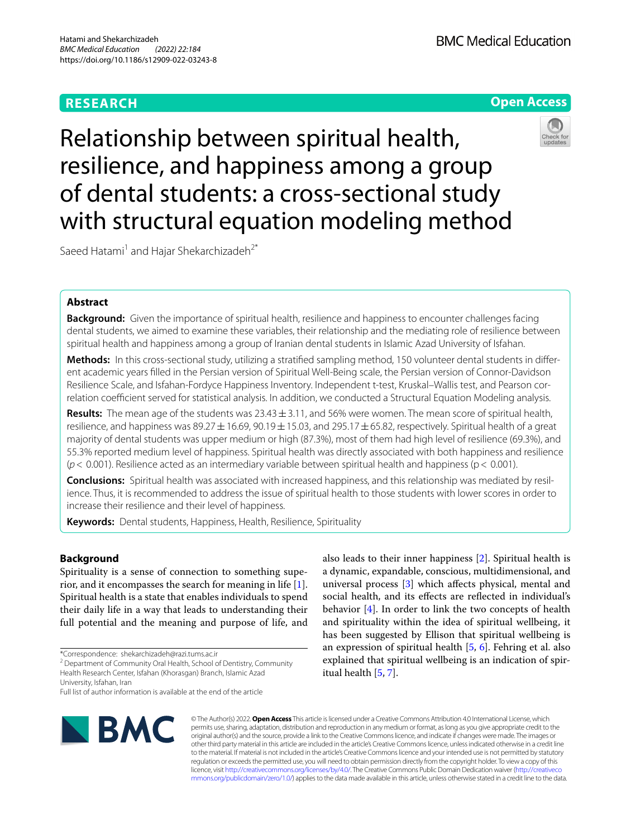# **RESEARCH**



Relationship between spiritual health, resilience, and happiness among a group of dental students: a cross-sectional study with structural equation modeling method

Saeed Hatami<sup>1</sup> and Hajar Shekarchizadeh<sup>2\*</sup>

## **Abstract**

**Background:** Given the importance of spiritual health, resilience and happiness to encounter challenges facing dental students, we aimed to examine these variables, their relationship and the mediating role of resilience between spiritual health and happiness among a group of Iranian dental students in Islamic Azad University of Isfahan.

**Methods:** In this cross-sectional study, utilizing a stratifed sampling method, 150 volunteer dental students in diferent academic years flled in the Persian version of Spiritual Well-Being scale, the Persian version of Connor-Davidson Resilience Scale, and Isfahan-Fordyce Happiness Inventory. Independent t-test, Kruskal–Wallis test, and Pearson correlation coefficient served for statistical analysis. In addition, we conducted a Structural Equation Modeling analysis.

**Results:** The mean age of the students was 23.43±3.11, and 56% were women. The mean score of spiritual health, resilience, and happiness was 89.27  $\pm$  16.69, 90.19  $\pm$  15.03, and 295.17  $\pm$  65.82, respectively. Spiritual health of a great majority of dental students was upper medium or high (87.3%), most of them had high level of resilience (69.3%), and 55.3% reported medium level of happiness. Spiritual health was directly associated with both happiness and resilience (*p*< 0.001). Resilience acted as an intermediary variable between spiritual health and happiness (p< 0.001).

**Conclusions:** Spiritual health was associated with increased happiness, and this relationship was mediated by resilience. Thus, it is recommended to address the issue of spiritual health to those students with lower scores in order to increase their resilience and their level of happiness.

**Keywords:** Dental students, Happiness, Health, Resilience, Spirituality

## **Background**

Spirituality is a sense of connection to something superior, and it encompasses the search for meaning in life [\[1](#page-6-0)]. Spiritual health is a state that enables individuals to spend their daily life in a way that leads to understanding their full potential and the meaning and purpose of life, and

\*Correspondence: shekarchizadeh@razi.tums.ac.ir

<sup>2</sup> Department of Community Oral Health, School of Dentistry, Community Health Research Center, Isfahan (Khorasgan) Branch, Islamic Azad

University, Isfahan, Iran

social health, and its efects are refected in individual's behavior [[4\]](#page-6-3). In order to link the two concepts of health and spirituality within the idea of spiritual wellbeing, it has been suggested by Ellison that spiritual wellbeing is an expression of spiritual health [[5,](#page-6-4) [6\]](#page-6-5). Fehring et al. also explained that spiritual wellbeing is an indication of spiritual health [\[5](#page-6-4), [7\]](#page-6-6).

also leads to their inner happiness [\[2](#page-6-1)]. Spiritual health is a dynamic, expandable, conscious, multidimensional, and universal process [[3\]](#page-6-2) which afects physical, mental and



© The Author(s) 2022. **Open Access** This article is licensed under a Creative Commons Attribution 4.0 International License, which permits use, sharing, adaptation, distribution and reproduction in any medium or format, as long as you give appropriate credit to the original author(s) and the source, provide a link to the Creative Commons licence, and indicate if changes were made. The images or other third party material in this article are included in the article's Creative Commons licence, unless indicated otherwise in a credit line to the material. If material is not included in the article's Creative Commons licence and your intended use is not permitted by statutory regulation or exceeds the permitted use, you will need to obtain permission directly from the copyright holder. To view a copy of this licence, visit [http://creativecommons.org/licenses/by/4.0/.](http://creativecommons.org/licenses/by/4.0/) The Creative Commons Public Domain Dedication waiver ([http://creativeco](http://creativecommons.org/publicdomain/zero/1.0/) [mmons.org/publicdomain/zero/1.0/](http://creativecommons.org/publicdomain/zero/1.0/)) applies to the data made available in this article, unless otherwise stated in a credit line to the data.

Full list of author information is available at the end of the article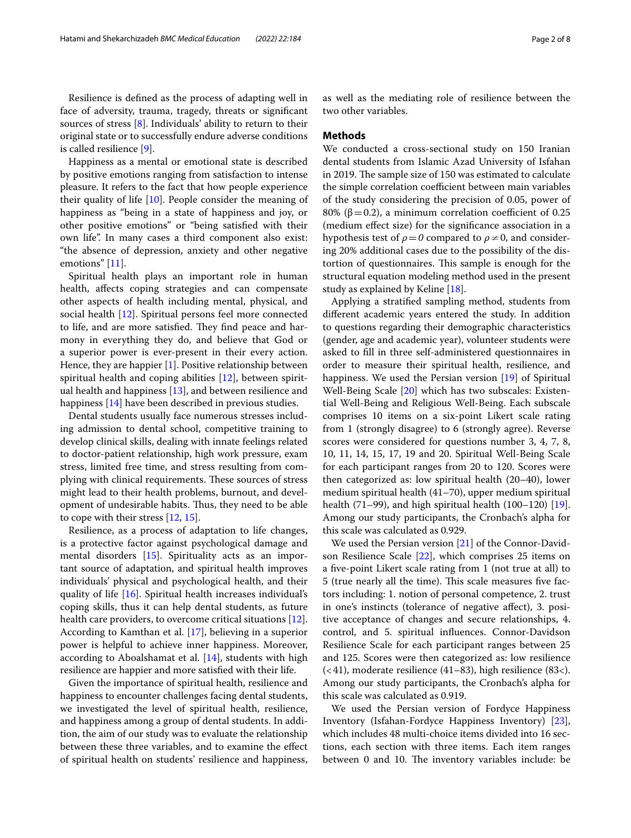Resilience is defned as the process of adapting well in face of adversity, trauma, tragedy, threats or signifcant sources of stress [[8](#page-6-7)]. Individuals' ability to return to their original state or to successfully endure adverse conditions is called resilience [[9\]](#page-6-8).

Happiness as a mental or emotional state is described by positive emotions ranging from satisfaction to intense pleasure. It refers to the fact that how people experience their quality of life  $[10]$  $[10]$  $[10]$ . People consider the meaning of happiness as "being in a state of happiness and joy, or other positive emotions" or "being satisfed with their own life". In many cases a third component also exist: "the absence of depression, anxiety and other negative emotions" [[11\]](#page-6-10).

Spiritual health plays an important role in human health, afects coping strategies and can compensate other aspects of health including mental, physical, and social health [[12\]](#page-6-11). Spiritual persons feel more connected to life, and are more satisfied. They find peace and harmony in everything they do, and believe that God or a superior power is ever-present in their every action. Hence, they are happier [[1\]](#page-6-0). Positive relationship between spiritual health and coping abilities [[12](#page-6-11)], between spiritual health and happiness [[13\]](#page-6-12), and between resilience and happiness [[14\]](#page-6-13) have been described in previous studies.

Dental students usually face numerous stresses including admission to dental school, competitive training to develop clinical skills, dealing with innate feelings related to doctor-patient relationship, high work pressure, exam stress, limited free time, and stress resulting from complying with clinical requirements. These sources of stress might lead to their health problems, burnout, and development of undesirable habits. Thus, they need to be able to cope with their stress [[12](#page-6-11), [15\]](#page-6-14).

Resilience, as a process of adaptation to life changes, is a protective factor against psychological damage and mental disorders [[15\]](#page-6-14). Spirituality acts as an important source of adaptation, and spiritual health improves individuals' physical and psychological health, and their quality of life [\[16](#page-6-15)]. Spiritual health increases individual's coping skills, thus it can help dental students, as future health care providers, to overcome critical situations [\[12](#page-6-11)]. According to Kamthan et al. [[17\]](#page-6-16), believing in a superior power is helpful to achieve inner happiness. Moreover, according to Aboalshamat et al. [[14\]](#page-6-13), students with high resilience are happier and more satisfed with their life.

Given the importance of spiritual health, resilience and happiness to encounter challenges facing dental students, we investigated the level of spiritual health, resilience, and happiness among a group of dental students. In addition, the aim of our study was to evaluate the relationship between these three variables, and to examine the efect of spiritual health on students' resilience and happiness,

as well as the mediating role of resilience between the two other variables.

## **Methods**

We conducted a cross-sectional study on 150 Iranian dental students from Islamic Azad University of Isfahan in 2019. The sample size of 150 was estimated to calculate the simple correlation coefficient between main variables of the study considering the precision of 0.05, power of 80% ( $\beta$  = 0.2), a minimum correlation coefficient of 0.25 (medium efect size) for the signifcance association in a hypothesis test of  $\rho = 0$  compared to  $\rho \neq 0$ , and considering 20% additional cases due to the possibility of the distortion of questionnaires. This sample is enough for the structural equation modeling method used in the present study as explained by Keline [[18\]](#page-6-17).

Applying a stratifed sampling method, students from diferent academic years entered the study. In addition to questions regarding their demographic characteristics (gender, age and academic year), volunteer students were asked to fll in three self-administered questionnaires in order to measure their spiritual health, resilience, and happiness. We used the Persian version [\[19\]](#page-6-18) of Spiritual Well-Being Scale [\[20](#page-6-19)] which has two subscales: Existential Well-Being and Religious Well-Being. Each subscale comprises 10 items on a six-point Likert scale rating from 1 (strongly disagree) to 6 (strongly agree). Reverse scores were considered for questions number 3, 4, 7, 8, 10, 11, 14, 15, 17, 19 and 20. Spiritual Well-Being Scale for each participant ranges from 20 to 120. Scores were then categorized as: low spiritual health (20–40), lower medium spiritual health (41–70), upper medium spiritual health  $(71–99)$ , and high spiritual health  $(100–120)$  [\[19](#page-6-18)]. Among our study participants, the Cronbach's alpha for this scale was calculated as 0.929.

We used the Persian version [\[21\]](#page-6-20) of the Connor-Davidson Resilience Scale [[22](#page-6-21)], which comprises 25 items on a fve-point Likert scale rating from 1 (not true at all) to 5 (true nearly all the time). This scale measures five factors including: 1. notion of personal competence, 2. trust in one's instincts (tolerance of negative afect), 3. positive acceptance of changes and secure relationships, 4. control, and 5. spiritual infuences. Connor-Davidson Resilience Scale for each participant ranges between 25 and 125. Scores were then categorized as: low resilience (<41), moderate resilience (41–83), high resilience (83<). Among our study participants, the Cronbach's alpha for this scale was calculated as 0.919.

We used the Persian version of Fordyce Happiness Inventory (Isfahan-Fordyce Happiness Inventory) [\[23](#page-6-22)], which includes 48 multi-choice items divided into 16 sections, each section with three items. Each item ranges between 0 and 10. The inventory variables include: be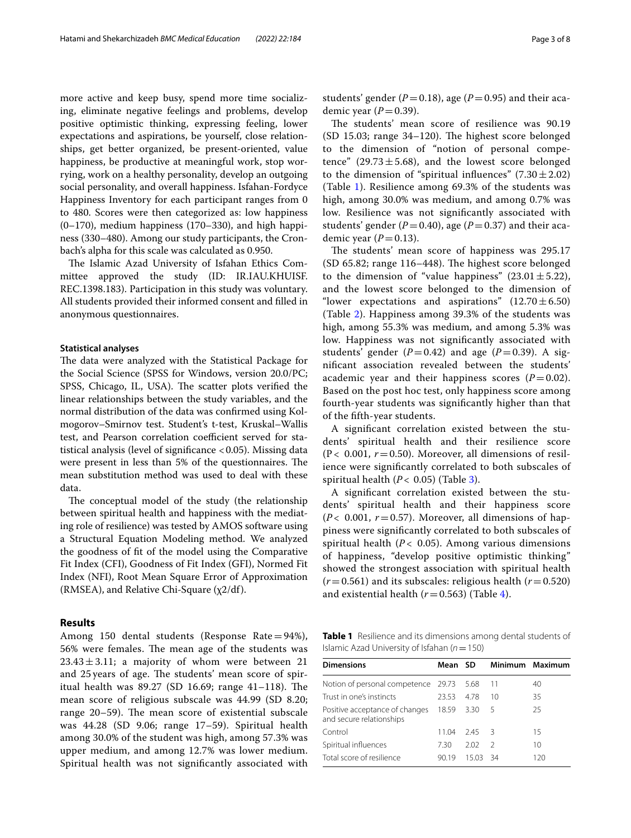more active and keep busy, spend more time socializing, eliminate negative feelings and problems, develop positive optimistic thinking, expressing feeling, lower expectations and aspirations, be yourself, close relationships, get better organized, be present-oriented, value happiness, be productive at meaningful work, stop worrying, work on a healthy personality, develop an outgoing social personality, and overall happiness. Isfahan-Fordyce Happiness Inventory for each participant ranges from 0 to 480. Scores were then categorized as: low happiness (0–170), medium happiness (170–330), and high happiness (330–480). Among our study participants, the Cronbach's alpha for this scale was calculated as 0.950.

The Islamic Azad University of Isfahan Ethics Committee approved the study (ID: IR.IAU.KHUISF. REC.1398.183). Participation in this study was voluntary. All students provided their informed consent and flled in anonymous questionnaires.

#### **Statistical analyses**

The data were analyzed with the Statistical Package for the Social Science (SPSS for Windows, version 20.0/PC; SPSS, Chicago, IL, USA). The scatter plots verified the linear relationships between the study variables, and the normal distribution of the data was confrmed using Kolmogorov–Smirnov test. Student's t-test, Kruskal–Wallis test, and Pearson correlation coefficient served for statistical analysis (level of significance <0.05). Missing data were present in less than 5% of the questionnaires. The mean substitution method was used to deal with these data.

The conceptual model of the study (the relationship between spiritual health and happiness with the mediating role of resilience) was tested by AMOS software using a Structural Equation Modeling method. We analyzed the goodness of ft of the model using the Comparative Fit Index (CFI), Goodness of Fit Index (GFI), Normed Fit Index (NFI), Root Mean Square Error of Approximation (RMSEA), and Relative Chi-Square  $(\chi 2/df)$ .

## **Results**

Among 150 dental students (Response Rate=94%), 56% were females. The mean age of the students was  $23.43 \pm 3.11$ ; a majority of whom were between 21 and 25 years of age. The students' mean score of spiritual health was  $89.27$  (SD 16.69; range  $41-118$ ). The mean score of religious subscale was 44.99 (SD 8.20; range  $20-59$ ). The mean score of existential subscale was 44.28 (SD 9.06; range 17–59). Spiritual health among 30.0% of the student was high, among 57.3% was upper medium, and among 12.7% was lower medium. Spiritual health was not signifcantly associated with students' gender ( $P = 0.18$ ), age ( $P = 0.95$ ) and their academic year  $(P=0.39)$ .

The students' mean score of resilience was 90.19  $(SD 15.03;$  range 34–120). The highest score belonged to the dimension of "notion of personal competence" (29.73 $\pm$ 5.68), and the lowest score belonged to the dimension of "spiritual influences"  $(7.30 \pm 2.02)$ (Table [1\)](#page-2-0). Resilience among 69.3% of the students was high, among 30.0% was medium, and among 0.7% was low. Resilience was not signifcantly associated with students' gender ( $P = 0.40$ ), age ( $P = 0.37$ ) and their academic year  $(P=0.13)$ .

The students' mean score of happiness was 295.17  $(SD 65.82; range 116–448)$ . The highest score belonged to the dimension of "value happiness"  $(23.01 \pm 5.22)$ , and the lowest score belonged to the dimension of "lower expectations and aspirations"  $(12.70 \pm 6.50)$ (Table [2](#page-3-0)). Happiness among 39.3% of the students was high, among 55.3% was medium, and among 5.3% was low. Happiness was not signifcantly associated with students' gender  $(P=0.42)$  and age  $(P=0.39)$ . A signifcant association revealed between the students' academic year and their happiness scores  $(P=0.02)$ . Based on the post hoc test, only happiness score among fourth-year students was signifcantly higher than that of the ffth-year students.

A signifcant correlation existed between the students' spiritual health and their resilience score  $(P< 0.001, r = 0.50)$ . Moreover, all dimensions of resilience were signifcantly correlated to both subscales of spiritual health  $(P < 0.05)$  (Table [3\)](#page-3-1).

A signifcant correlation existed between the students' spiritual health and their happiness score  $(P< 0.001, r = 0.57)$ . Moreover, all dimensions of happiness were signifcantly correlated to both subscales of spiritual health ( $P$  < 0.05). Among various dimensions of happiness, "develop positive optimistic thinking" showed the strongest association with spiritual health  $(r=0.561)$  and its subscales: religious health  $(r=0.520)$ and existential health  $(r=0.563)$  (Table [4](#page-4-0)).

<span id="page-2-0"></span>**Table 1** Resilience and its dimensions among dental students of Islamic Azad University of Isfahan (*n*=150)

| <b>Dimensions</b>                                          | Mean SD |       |      | Minimum Maximum |
|------------------------------------------------------------|---------|-------|------|-----------------|
| Notion of personal competence 29.73 5.68                   |         |       | -11  | 40              |
| Trust in one's instincts                                   | 23.53   | 4.78  | 10   | 35              |
| Positive acceptance of changes<br>and secure relationships | 18.59   | 3.30  | 5    | 25              |
| Control                                                    | 11 04   | 245   | - 3  | 15              |
| Spiritual influences                                       | 7.30    | 202   | 2    | 10              |
| Total score of resilience                                  | 90.19   | 15.03 | - 34 | 120             |
|                                                            |         |       |      |                 |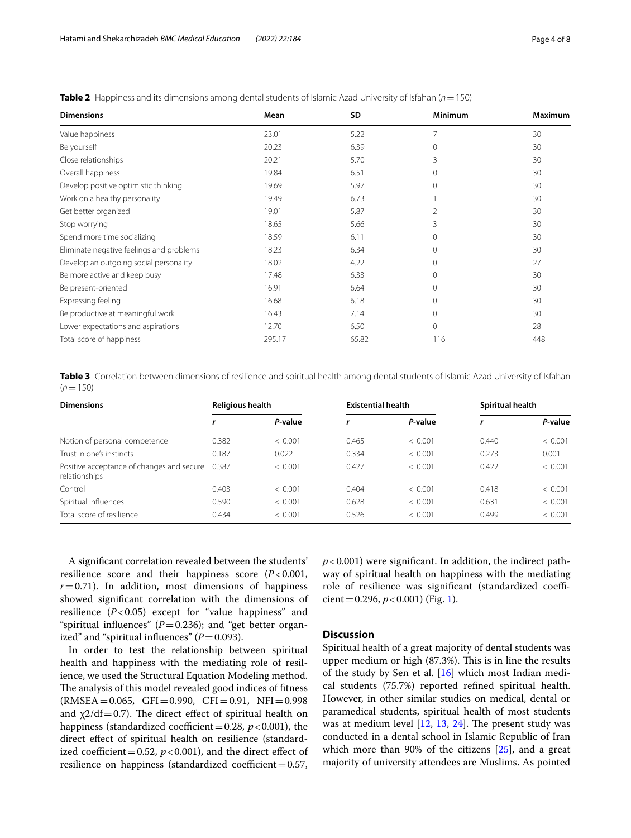| <b>Dimensions</b>                        | Mean   | SD    | Minimum  | <b>Maximum</b> |
|------------------------------------------|--------|-------|----------|----------------|
| Value happiness                          | 23.01  | 5.22  |          | 30             |
| Be yourself                              | 20.23  | 6.39  | $\Omega$ | 30             |
| Close relationships                      | 20.21  | 5.70  | 3        | 30             |
| Overall happiness                        | 19.84  | 6.51  | $\Omega$ | 30             |
| Develop positive optimistic thinking     | 19.69  | 5.97  | $\Omega$ | 30             |
| Work on a healthy personality            | 19.49  | 6.73  |          | 30             |
| Get better organized                     | 19.01  | 5.87  | 2        | 30             |
| Stop worrying                            | 18.65  | 5.66  | 3        | 30             |
| Spend more time socializing              | 18.59  | 6.11  | $\Omega$ | 30             |
| Eliminate negative feelings and problems | 18.23  | 6.34  | $\Omega$ | 30             |
| Develop an outgoing social personality   | 18.02  | 4.22  | $\Omega$ | 27             |
| Be more active and keep busy             | 17.48  | 6.33  | $\Omega$ | 30             |
| Be present-oriented                      | 16.91  | 6.64  | $\Omega$ | 30             |
| Expressing feeling                       | 16.68  | 6.18  | $\Omega$ | 30             |
| Be productive at meaningful work         | 16.43  | 7.14  | $\Omega$ | 30             |
| Lower expectations and aspirations       | 12.70  | 6.50  | $\Omega$ | 28             |
| Total score of happiness                 | 295.17 | 65.82 | 116      | 448            |

<span id="page-3-0"></span>**Table 2** Happiness and its dimensions among dental students of Islamic Azad University of Isfahan (*n*=150)

<span id="page-3-1"></span>

|           | Table 3 Correlation between dimensions of resilience and spiritual health among dental students of Islamic Azad University of Isfahan |  |
|-----------|---------------------------------------------------------------------------------------------------------------------------------------|--|
| $(n=150)$ |                                                                                                                                       |  |

| <b>Dimensions</b>                                                | <b>Religious health</b> |         | <b>Existential health</b> |         | Spiritual health |         |
|------------------------------------------------------------------|-------------------------|---------|---------------------------|---------|------------------|---------|
|                                                                  |                         | P-value |                           | P-value |                  | P-value |
| Notion of personal competence                                    | 0.382                   | < 0.001 | 0.465                     | < 0.001 | 0.440            | < 0.001 |
| Trust in one's instincts                                         | 0.187                   | 0.022   | 0.334                     | < 0.001 | 0.273            | 0.001   |
| Positive acceptance of changes and secure 0.387<br>relationships |                         | < 0.001 | 0.427                     | < 0.001 | 0.422            | < 0.001 |
| Control                                                          | 0.403                   | < 0.001 | 0.404                     | < 0.001 | 0.418            | < 0.001 |
| Spiritual influences                                             | 0.590                   | < 0.001 | 0.628                     | < 0.001 | 0.631            | < 0.001 |
| Total score of resilience                                        | 0.434                   | < 0.001 | 0.526                     | < 0.001 | 0.499            | < 0.001 |

A signifcant correlation revealed between the students' resilience score and their happiness score (*P*<0.001,  $r=0.71$ ). In addition, most dimensions of happiness showed signifcant correlation with the dimensions of resilience (*P*<0.05) except for "value happiness" and "spiritual influences" ( $P=0.236$ ); and "get better organized" and "spiritual influences"  $(P=0.093)$ .

In order to test the relationship between spiritual health and happiness with the mediating role of resilience, we used the Structural Equation Modeling method. The analysis of this model revealed good indices of fitness  $(RMSEA = 0.065, GFI = 0.990, CFI = 0.91, NFI = 0.998$ and  $\chi$ 2/df = 0.7). The direct effect of spiritual health on happiness (standardized coefficient=0.28,  $p$  < 0.001), the direct efect of spiritual health on resilience (standardized coefficient = 0.52,  $p < 0.001$ ), and the direct effect of resilience on happiness (standardized coefficient= $0.57$ , *p*<0.001) were signifcant. In addition, the indirect pathway of spiritual health on happiness with the mediating role of resilience was significant (standardized coefficient =  $0.296$ ,  $p < 0.001$ ) (Fig. [1](#page-4-1)).

## **Discussion**

Spiritual health of a great majority of dental students was upper medium or high (87.3%). This is in line the results of the study by Sen et al. [\[16\]](#page-6-15) which most Indian medical students (75.7%) reported refned spiritual health. However, in other similar studies on medical, dental or paramedical students, spiritual health of most students was at medium level  $[12, 13, 24]$  $[12, 13, 24]$  $[12, 13, 24]$  $[12, 13, 24]$  $[12, 13, 24]$  $[12, 13, 24]$  $[12, 13, 24]$ . The present study was conducted in a dental school in Islamic Republic of Iran which more than 90% of the citizens [[25](#page-6-24)], and a great majority of university attendees are Muslims. As pointed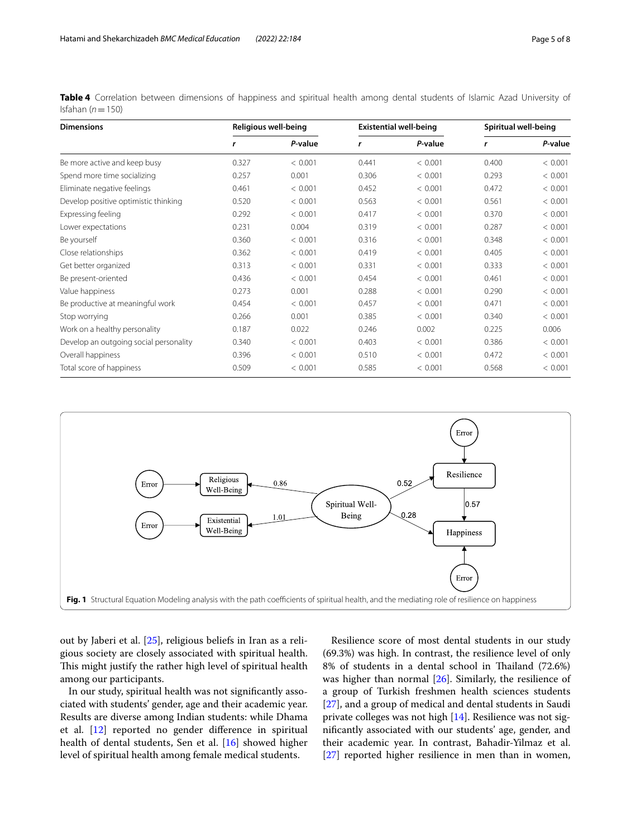<span id="page-4-0"></span>**Table 4** Correlation between dimensions of happiness and spiritual health among dental students of Islamic Azad University of Isfahan (*n*=150)

| <b>Dimensions</b>                      | Religious well-being |         | <b>Existential well-being</b> |         | Spiritual well-being |         |
|----------------------------------------|----------------------|---------|-------------------------------|---------|----------------------|---------|
|                                        | r                    | P-value | r                             | P-value | r                    | P-value |
| Be more active and keep busy           | 0.327                | < 0.001 | 0.441                         | < 0.001 | 0.400                | < 0.001 |
| Spend more time socializing            | 0.257                | 0.001   | 0.306                         | < 0.001 | 0.293                | < 0.001 |
| Eliminate negative feelings            | 0.461                | < 0.001 | 0.452                         | < 0.001 | 0.472                | < 0.001 |
| Develop positive optimistic thinking   | 0.520                | < 0.001 | 0.563                         | < 0.001 | 0.561                | < 0.001 |
| Expressing feeling                     | 0.292                | < 0.001 | 0.417                         | < 0.001 | 0.370                | < 0.001 |
| Lower expectations                     | 0.231                | 0.004   | 0.319                         | < 0.001 | 0.287                | < 0.001 |
| Be yourself                            | 0.360                | < 0.001 | 0.316                         | < 0.001 | 0.348                | < 0.001 |
| Close relationships                    | 0.362                | < 0.001 | 0.419                         | < 0.001 | 0.405                | < 0.001 |
| Get better organized                   | 0.313                | < 0.001 | 0.331                         | < 0.001 | 0.333                | < 0.001 |
| Be present-oriented                    | 0.436                | < 0.001 | 0.454                         | < 0.001 | 0.461                | < 0.001 |
| Value happiness                        | 0.273                | 0.001   | 0.288                         | < 0.001 | 0.290                | < 0.001 |
| Be productive at meaningful work       | 0.454                | < 0.001 | 0.457                         | < 0.001 | 0.471                | < 0.001 |
| Stop worrying                          | 0.266                | 0.001   | 0.385                         | < 0.001 | 0.340                | < 0.001 |
| Work on a healthy personality          | 0.187                | 0.022   | 0.246                         | 0.002   | 0.225                | 0.006   |
| Develop an outgoing social personality | 0.340                | < 0.001 | 0.403                         | < 0.001 | 0.386                | < 0.001 |
| Overall happiness                      | 0.396                | < 0.001 | 0.510                         | < 0.001 | 0.472                | < 0.001 |
| Total score of happiness               | 0.509                | < 0.001 | 0.585                         | < 0.001 | 0.568                | < 0.001 |



<span id="page-4-1"></span>out by Jaberi et al. [[25\]](#page-6-24), religious beliefs in Iran as a religious society are closely associated with spiritual health. This might justify the rather high level of spiritual health among our participants.

In our study, spiritual health was not signifcantly associated with students' gender, age and their academic year. Results are diverse among Indian students: while Dhama et al. [[12\]](#page-6-11) reported no gender diference in spiritual health of dental students, Sen et al. [[16\]](#page-6-15) showed higher level of spiritual health among female medical students.

Resilience score of most dental students in our study (69.3%) was high. In contrast, the resilience level of only 8% of students in a dental school in Thailand (72.6%) was higher than normal [[26\]](#page-6-25). Similarly, the resilience of a group of Turkish freshmen health sciences students [[27\]](#page-6-26), and a group of medical and dental students in Saudi private colleges was not high [\[14](#page-6-13)]. Resilience was not signifcantly associated with our students' age, gender, and their academic year. In contrast, Bahadir-Yilmaz et al. [[27\]](#page-6-26) reported higher resilience in men than in women,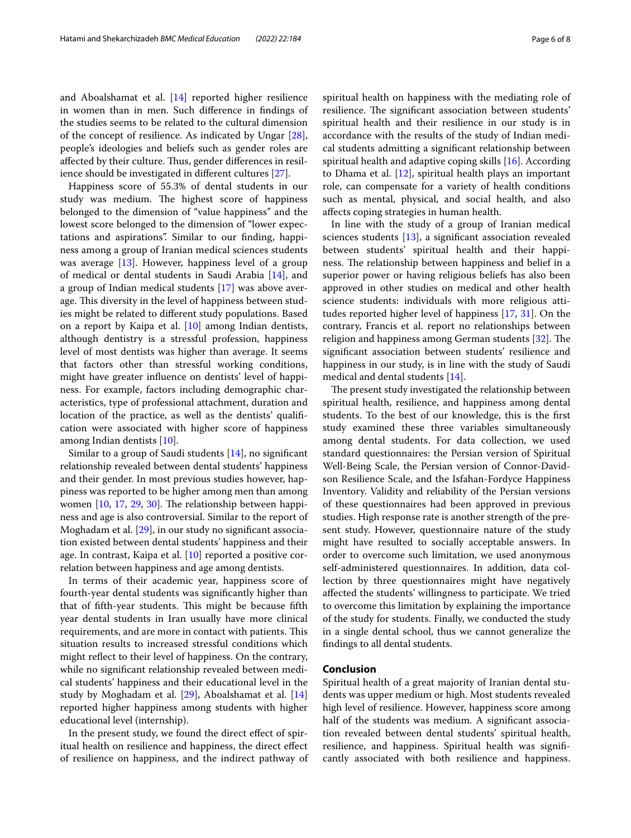and Aboalshamat et al. [[14\]](#page-6-13) reported higher resilience in women than in men. Such diference in fndings of the studies seems to be related to the cultural dimension of the concept of resilience. As indicated by Ungar  $[28]$  $[28]$ , people's ideologies and beliefs such as gender roles are affected by their culture. Thus, gender differences in resilience should be investigated in diferent cultures [\[27](#page-6-26)].

Happiness score of 55.3% of dental students in our study was medium. The highest score of happiness belonged to the dimension of "value happiness" and the lowest score belonged to the dimension of "lower expectations and aspirations". Similar to our fnding, happiness among a group of Iranian medical sciences students was average [[13\]](#page-6-12). However, happiness level of a group of medical or dental students in Saudi Arabia [\[14](#page-6-13)], and a group of Indian medical students [[17](#page-6-16)] was above average. This diversity in the level of happiness between studies might be related to diferent study populations. Based on a report by Kaipa et al. [\[10](#page-6-9)] among Indian dentists, although dentistry is a stressful profession, happiness level of most dentists was higher than average. It seems that factors other than stressful working conditions, might have greater infuence on dentists' level of happiness. For example, factors including demographic characteristics, type of professional attachment, duration and location of the practice, as well as the dentists' qualifcation were associated with higher score of happiness among Indian dentists [\[10](#page-6-9)].

Similar to a group of Saudi students [\[14](#page-6-13)], no signifcant relationship revealed between dental students' happiness and their gender. In most previous studies however, happiness was reported to be higher among men than among women  $[10, 17, 29, 30]$  $[10, 17, 29, 30]$  $[10, 17, 29, 30]$  $[10, 17, 29, 30]$  $[10, 17, 29, 30]$  $[10, 17, 29, 30]$  $[10, 17, 29, 30]$  $[10, 17, 29, 30]$ . The relationship between happiness and age is also controversial. Similar to the report of Moghadam et al. [[29\]](#page-7-1), in our study no signifcant association existed between dental students' happiness and their age. In contrast, Kaipa et al. [[10\]](#page-6-9) reported a positive correlation between happiness and age among dentists.

In terms of their academic year, happiness score of fourth-year dental students was signifcantly higher than that of fifth-year students. This might be because fifth year dental students in Iran usually have more clinical requirements, and are more in contact with patients. This situation results to increased stressful conditions which might refect to their level of happiness. On the contrary, while no signifcant relationship revealed between medical students' happiness and their educational level in the study by Moghadam et al. [[29](#page-7-1)], Aboalshamat et al. [[14](#page-6-13)] reported higher happiness among students with higher educational level (internship).

In the present study, we found the direct efect of spiritual health on resilience and happiness, the direct efect of resilience on happiness, and the indirect pathway of spiritual health on happiness with the mediating role of resilience. The significant association between students' spiritual health and their resilience in our study is in accordance with the results of the study of Indian medical students admitting a signifcant relationship between spiritual health and adaptive coping skills [[16](#page-6-15)]. According to Dhama et al. [[12\]](#page-6-11), spiritual health plays an important role, can compensate for a variety of health conditions such as mental, physical, and social health, and also afects coping strategies in human health.

In line with the study of a group of Iranian medical sciences students [[13\]](#page-6-12), a significant association revealed between students' spiritual health and their happiness. The relationship between happiness and belief in a superior power or having religious beliefs has also been approved in other studies on medical and other health science students: individuals with more religious attitudes reported higher level of happiness [\[17](#page-6-16), [31](#page-7-3)]. On the contrary, Francis et al. report no relationships between religion and happiness among German students [[32](#page-7-4)]. The signifcant association between students' resilience and happiness in our study, is in line with the study of Saudi medical and dental students [[14](#page-6-13)].

The present study investigated the relationship between spiritual health, resilience, and happiness among dental students. To the best of our knowledge, this is the frst study examined these three variables simultaneously among dental students. For data collection, we used standard questionnaires: the Persian version of Spiritual Well-Being Scale, the Persian version of Connor-Davidson Resilience Scale, and the Isfahan-Fordyce Happiness Inventory. Validity and reliability of the Persian versions of these questionnaires had been approved in previous studies. High response rate is another strength of the present study. However, questionnaire nature of the study might have resulted to socially acceptable answers. In order to overcome such limitation, we used anonymous self-administered questionnaires. In addition, data collection by three questionnaires might have negatively afected the students' willingness to participate. We tried to overcome this limitation by explaining the importance of the study for students. Finally, we conducted the study in a single dental school, thus we cannot generalize the fndings to all dental students.

## **Conclusion**

Spiritual health of a great majority of Iranian dental students was upper medium or high. Most students revealed high level of resilience. However, happiness score among half of the students was medium. A signifcant association revealed between dental students' spiritual health, resilience, and happiness. Spiritual health was signifcantly associated with both resilience and happiness.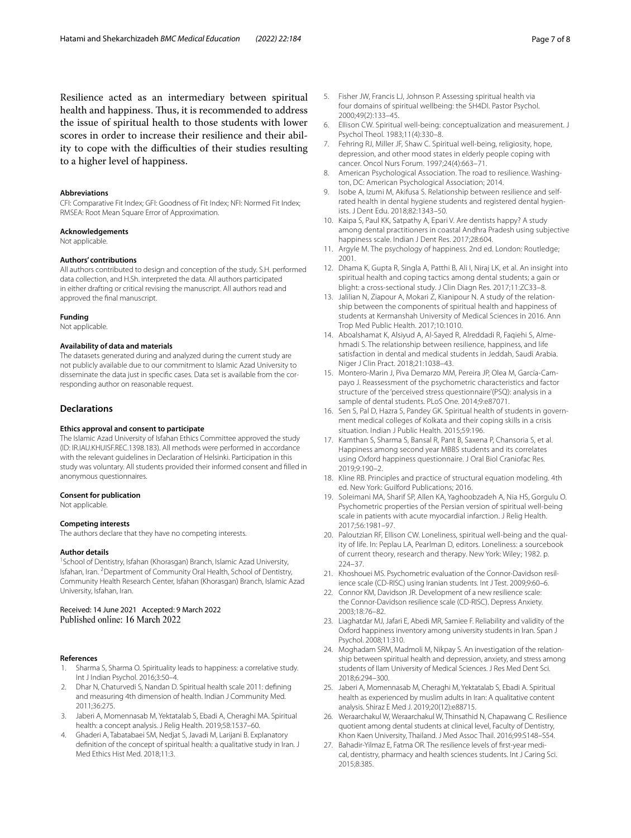Resilience acted as an intermediary between spiritual health and happiness. Thus, it is recommended to address the issue of spiritual health to those students with lower scores in order to increase their resilience and their ability to cope with the difficulties of their studies resulting to a higher level of happiness.

## **Abbreviations**

CFI: Comparative Fit Index; GFI: Goodness of Fit Index; NFI: Normed Fit Index; RMSEA: Root Mean Square Error of Approximation.

#### **Acknowledgements**

Not applicable.

#### **Authors' contributions**

All authors contributed to design and conception of the study. S.H. performed data collection, and H.Sh. interpreted the data. All authors participated in either drafting or critical revising the manuscript. All authors read and approved the fnal manuscript.

#### **Funding**

Not applicable.

### **Availability of data and materials**

The datasets generated during and analyzed during the current study are not publicly available due to our commitment to Islamic Azad University to disseminate the data just in specifc cases. Data set is available from the corresponding author on reasonable request.

## **Declarations**

#### **Ethics approval and consent to participate**

The Islamic Azad University of Isfahan Ethics Committee approved the study (ID: IR.IAU.KHUISF.REC.1398.183). All methods were performed in accordance with the relevant guidelines in Declaration of Helsinki. Participation in this study was voluntary. All students provided their informed consent and flled in anonymous questionnaires.

#### **Consent for publication**

Not applicable.

#### **Competing interests**

The authors declare that they have no competing interests.

#### **Author details**

<sup>1</sup> School of Dentistry, Isfahan (Khorasgan) Branch, Islamic Azad University, Isfahan, Iran. <sup>2</sup> Department of Community Oral Health, School of Dentistry, Community Health Research Center, Isfahan (Khorasgan) Branch, Islamic Azad University, Isfahan, Iran.

Received: 14 June 2021 Accepted: 9 March 2022 Published online: 16 March 2022

### **References**

- <span id="page-6-0"></span>Sharma S, Sharma O. Spirituality leads to happiness: a correlative study. Int J Indian Psychol. 2016;3:50–4.
- <span id="page-6-1"></span>2. Dhar N, Chaturvedi S, Nandan D. Spiritual health scale 2011: defning and measuring 4th dimension of health. Indian J Community Med. 2011;36:275.
- <span id="page-6-2"></span>3. Jaberi A, Momennasab M, Yektatalab S, Ebadi A, Cheraghi MA. Spiritual health: a concept analysis. J Relig Health. 2019;58:1537–60.
- <span id="page-6-3"></span>4. Ghaderi A, Tabatabaei SM, Nedjat S, Javadi M, Larijani B. Explanatory defnition of the concept of spiritual health: a qualitative study in Iran. J Med Ethics Hist Med. 2018;11:3.
- <span id="page-6-4"></span>5. Fisher JW, Francis LJ, Johnson P. Assessing spiritual health via four domains of spiritual wellbeing: the SH4DI. Pastor Psychol. 2000;49(2):133–45.
- <span id="page-6-5"></span>6. Ellison CW. Spiritual well-being: conceptualization and measurement. J Psychol Theol. 1983;11(4):330–8.
- <span id="page-6-6"></span>7. Fehring RJ, Miller JF, Shaw C. Spiritual well-being, religiosity, hope, depression, and other mood states in elderly people coping with cancer. Oncol Nurs Forum. 1997;24(4):663–71.
- <span id="page-6-7"></span>8. American Psychological Association. The road to resilience. Washington, DC: American Psychological Association; 2014.
- <span id="page-6-8"></span>9. Isobe A, Izumi M, Akifusa S. Relationship between resilience and selfrated health in dental hygiene students and registered dental hygienists. J Dent Edu. 2018;82:1343–50.
- <span id="page-6-9"></span>10. Kaipa S, Paul KK, Satpathy A, Epari V. Are dentists happy? A study among dental practitioners in coastal Andhra Pradesh using subjective happiness scale. Indian J Dent Res. 2017;28:604.
- <span id="page-6-10"></span>11. Argyle M. The psychology of happiness. 2nd ed. London: Routledge; 2001.
- <span id="page-6-11"></span>12. Dhama K, Gupta R, Singla A, Patthi B, Ali I, Niraj LK, et al. An insight into spiritual health and coping tactics among dental students; a gain or blight: a cross-sectional study. J Clin Diagn Res. 2017;11:ZC33–8.
- <span id="page-6-12"></span>13. Jalilian N, Ziapour A, Mokari Z, Kianipour N. A study of the relationship between the components of spiritual health and happiness of students at Kermanshah University of Medical Sciences in 2016. Ann Trop Med Public Health. 2017;10:1010.
- <span id="page-6-13"></span>14. Aboalshamat K, Alsiyud A, Al-Sayed R, Alreddadi R, Faqiehi S, Almehmadi S. The relationship between resilience, happiness, and life satisfaction in dental and medical students in Jeddah, Saudi Arabia. Niger J Clin Pract. 2018;21:1038–43.
- <span id="page-6-14"></span>15. Montero-Marin J, Piva Demarzo MM, Pereira JP, Olea M, García-Campayo J. Reassessment of the psychometric characteristics and factor structure of the 'perceived stress questionnaire'(PSQ): analysis in a sample of dental students. PLoS One. 2014;9:e87071.
- <span id="page-6-15"></span>16. Sen S, Pal D, Hazra S, Pandey GK. Spiritual health of students in government medical colleges of Kolkata and their coping skills in a crisis situation. Indian J Public Health. 2015;59:196.
- <span id="page-6-16"></span>17. Kamthan S, Sharma S, Bansal R, Pant B, Saxena P, Chansoria S, et al. Happiness among second year MBBS students and its correlates using Oxford happiness questionnaire. J Oral Biol Craniofac Res. 2019;9:190–2.
- <span id="page-6-17"></span>18. Kline RB. Principles and practice of structural equation modeling. 4th ed. New York: Guilford Publications; 2016.
- <span id="page-6-18"></span>19. Soleimani MA, Sharif SP, Allen KA, Yaghoobzadeh A, Nia HS, Gorgulu O. Psychometric properties of the Persian version of spiritual well-being scale in patients with acute myocardial infarction. J Relig Health. 2017;56:1981–97.
- <span id="page-6-19"></span>20. Paloutzian RF, Ellison CW. Loneliness, spiritual well-being and the quality of life. In: Peplau LA, Pearlman D, editors. Loneliness: a sourcebook of current theory, research and therapy. New York: Wiley; 1982. p. 224–37.
- <span id="page-6-20"></span>21. Khoshouei MS. Psychometric evaluation of the Connor-Davidson resilience scale (CD-RISC) using Iranian students. Int J Test. 2009;9:60–6.
- <span id="page-6-21"></span>22. Connor KM, Davidson JR. Development of a new resilience scale: the Connor-Davidson resilience scale (CD-RISC). Depress Anxiety. 2003;18:76–82.
- <span id="page-6-22"></span>23. Liaghatdar MJ, Jafari E, Abedi MR, Samiee F. Reliability and validity of the Oxford happiness inventory among university students in Iran. Span J Psychol. 2008;11:310.
- <span id="page-6-23"></span>24. Moghadam SRM, Madmoli M, Nikpay S. An investigation of the relationship between spiritual health and depression, anxiety, and stress among students of Ilam University of Medical Sciences. J Res Med Dent Sci. 2018;6:294–300.
- <span id="page-6-24"></span>25. Jaberi A, Momennasab M, Cheraghi M, Yektatalab S, Ebadi A. Spiritual health as experienced by muslim adults in Iran: A qualitative content analysis. Shiraz E Med J. 2019;20(12):e88715.
- <span id="page-6-25"></span>26. Weraarchakul W, Weraarchakul W, Thinsathid N, Chapawang C. Resilience quotient among dental students at clinical level, Faculty of Dentistry, Khon Kaen University, Thailand. J Med Assoc Thail. 2016;99:S148–S54.
- <span id="page-6-26"></span>27. Bahadir-Yilmaz E, Fatma OR. The resilience levels of frst-year medical, dentistry, pharmacy and health sciences students. Int J Caring Sci. 2015;8:385.